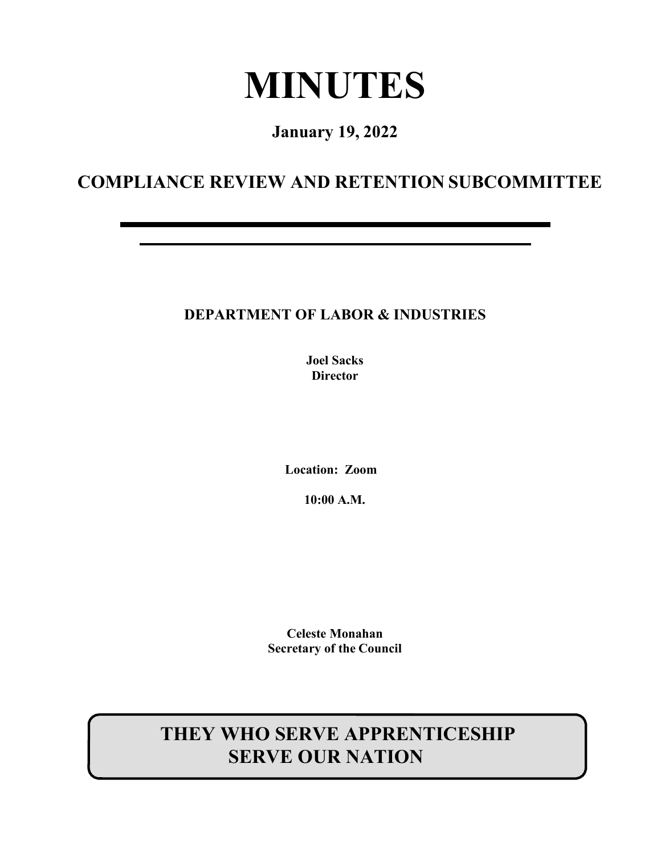# **MINUTES**

**January 19, 2022**

# **COMPLIANCE REVIEW AND RETENTION SUBCOMMITTEE**

# **DEPARTMENT OF LABOR & INDUSTRIES**

**Joel Sacks Director**

**Location: Zoom** 

**10:00 A.M.**

**Celeste Monahan Secretary of the Council**

# **THEY WHO SERVE APPRENTICESHIP SERVE OUR NATION**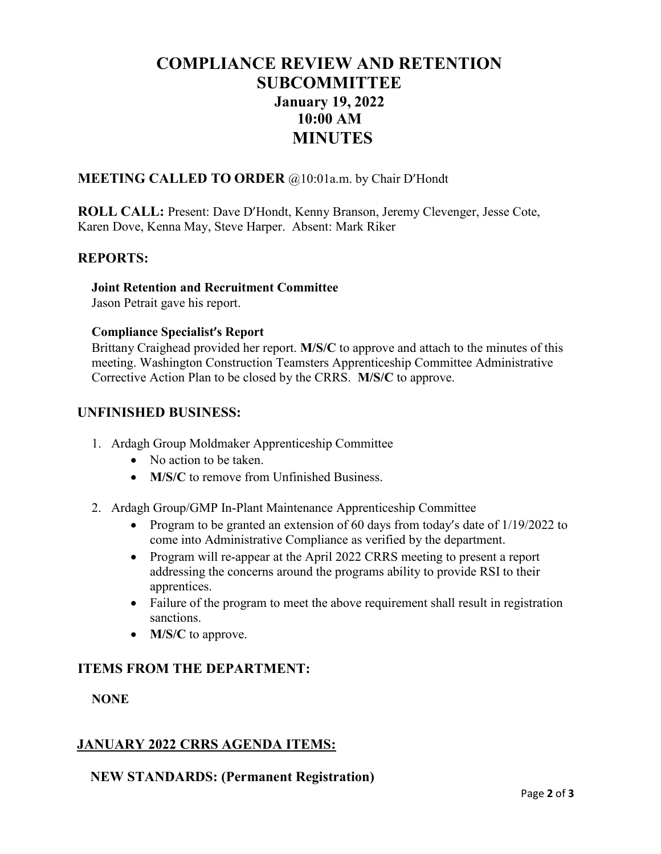# **COMPLIANCE REVIEW AND RETENTION SUBCOMMITTEE January 19, 2022 10:00 AM MINUTES**

#### **MEETING CALLED TO ORDER** @10:01a.m. by Chair D'Hondt

**ROLL CALL:** Present: Dave D'Hondt, Kenny Branson, Jeremy Clevenger, Jesse Cote, Karen Dove, Kenna May, Steve Harper. Absent: Mark Riker

#### **REPORTS:**

#### **Joint Retention and Recruitment Committee**

Jason Petrait gave his report.

#### **Compliance Specialist's Report**

Brittany Craighead provided her report. **M/S/C** to approve and attach to the minutes of this meeting. Washington Construction Teamsters Apprenticeship Committee Administrative Corrective Action Plan to be closed by the CRRS. **M/S/C** to approve.

#### **UNFINISHED BUSINESS:**

- 1. Ardagh Group Moldmaker Apprenticeship Committee
	- No action to be taken.
	- **M/S/C** to remove from Unfinished Business.
- 2. Ardagh Group/GMP In-Plant Maintenance Apprenticeship Committee
	- Program to be granted an extension of 60 days from today's date of 1/19/2022 to come into Administrative Compliance as verified by the department.
	- Program will re-appear at the April 2022 CRRS meeting to present a report addressing the concerns around the programs ability to provide RSI to their apprentices.
	- Failure of the program to meet the above requirement shall result in registration sanctions.
	- **M/S/C** to approve.

## **ITEMS FROM THE DEPARTMENT:**

#### **NONE**

## **JANUARY 2022 CRRS AGENDA ITEMS:**

#### **NEW STANDARDS: (Permanent Registration)**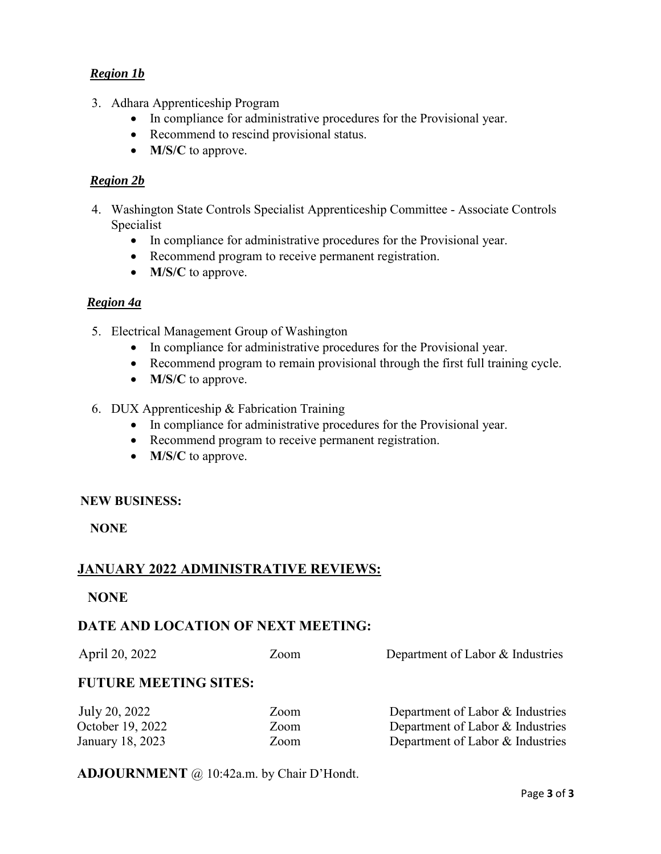#### *Region 1b*

- 3. Adhara Apprenticeship Program
	- In compliance for administrative procedures for the Provisional year.
	- Recommend to rescind provisional status.
	- **M/S/C** to approve.

#### *Region 2b*

- 4. Washington State Controls Specialist Apprenticeship Committee Associate Controls Specialist
	- In compliance for administrative procedures for the Provisional year.
	- Recommend program to receive permanent registration.
	- **M/S/C** to approve.

#### *Region 4a*

- 5. Electrical Management Group of Washington
	- In compliance for administrative procedures for the Provisional year.
	- Recommend program to remain provisional through the first full training cycle.
	- **M/S/C** to approve.
- 6. DUX Apprenticeship & Fabrication Training
	- In compliance for administrative procedures for the Provisional year.
	- Recommend program to receive permanent registration.
	- **M/S/C** to approve.

#### **NEW BUSINESS:**

**NONE**

#### **JANUARY 2022 ADMINISTRATIVE REVIEWS:**

#### **NONE**

#### **DATE AND LOCATION OF NEXT MEETING:**

April 20, 2022 Zoom Department of Labor & Industries **FUTURE MEETING SITES: Iuly 20, 2022** Zoom **Department of Labor & Industri**es

| October 19, 2022<br>Zoom | Department of Labor & Industries |
|--------------------------|----------------------------------|
| Zoom<br>January 18, 2023 | Department of Labor & Industries |

#### **ADJOURNMENT** @ 10:42a.m. by Chair D'Hondt.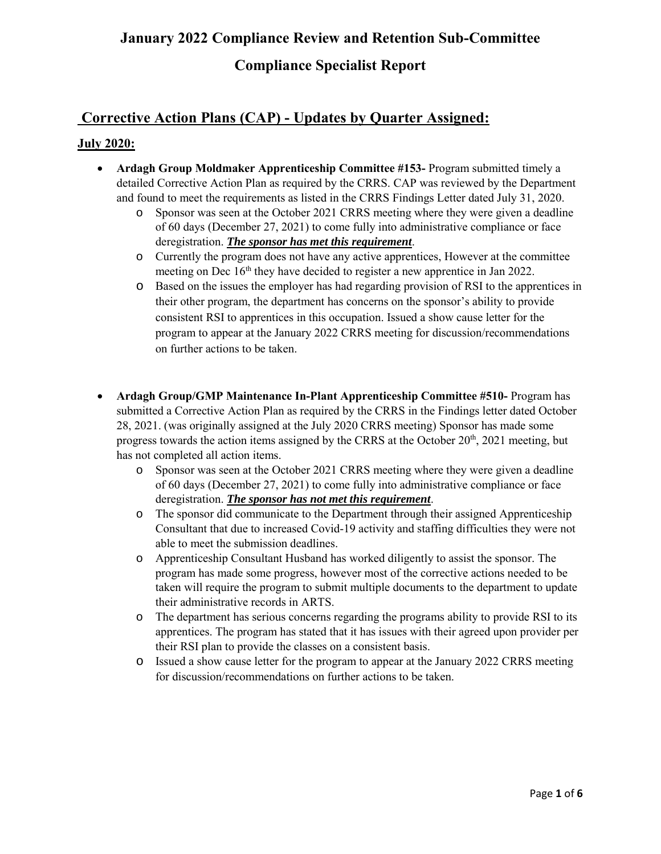# **January 2022 Compliance Review and Retention Sub-Committee**

# **Compliance Specialist Report**

# **Corrective Action Plans (CAP) - Updates by Quarter Assigned:**

#### **July 2020:**

- **Ardagh Group Moldmaker Apprenticeship Committee #153-** Program submitted timely a detailed Corrective Action Plan as required by the CRRS. CAP was reviewed by the Department and found to meet the requirements as listed in the CRRS Findings Letter dated July 31, 2020.
	- o Sponsor was seen at the October 2021 CRRS meeting where they were given a deadline of 60 days (December 27, 2021) to come fully into administrative compliance or face deregistration. *The sponsor has met this requirement*.
	- o Currently the program does not have any active apprentices, However at the committee meeting on Dec 16<sup>th</sup> they have decided to register a new apprentice in Jan 2022.
	- o Based on the issues the employer has had regarding provision of RSI to the apprentices in their other program, the department has concerns on the sponsor's ability to provide consistent RSI to apprentices in this occupation. Issued a show cause letter for the program to appear at the January 2022 CRRS meeting for discussion/recommendations on further actions to be taken.
- **Ardagh Group/GMP Maintenance In-Plant Apprenticeship Committee #510-** Program has submitted a Corrective Action Plan as required by the CRRS in the Findings letter dated October 28, 2021. (was originally assigned at the July 2020 CRRS meeting) Sponsor has made some progress towards the action items assigned by the CRRS at the October  $20<sup>th</sup>$ , 2021 meeting, but has not completed all action items.
	- o Sponsor was seen at the October 2021 CRRS meeting where they were given a deadline of 60 days (December 27, 2021) to come fully into administrative compliance or face deregistration. *The sponsor has not met this requirement*.
	- o The sponsor did communicate to the Department through their assigned Apprenticeship Consultant that due to increased Covid-19 activity and staffing difficulties they were not able to meet the submission deadlines.
	- o Apprenticeship Consultant Husband has worked diligently to assist the sponsor. The program has made some progress, however most of the corrective actions needed to be taken will require the program to submit multiple documents to the department to update their administrative records in ARTS.
	- o The department has serious concerns regarding the programs ability to provide RSI to its apprentices. The program has stated that it has issues with their agreed upon provider per their RSI plan to provide the classes on a consistent basis.
	- o Issued a show cause letter for the program to appear at the January 2022 CRRS meeting for discussion/recommendations on further actions to be taken.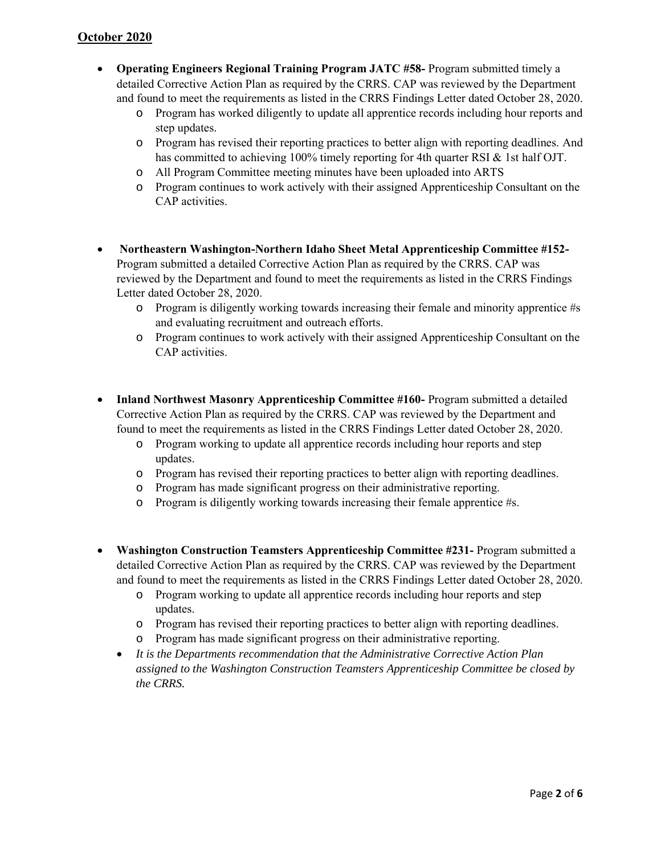- **Operating Engineers Regional Training Program JATC #58-** Program submitted timely a detailed Corrective Action Plan as required by the CRRS. CAP was reviewed by the Department and found to meet the requirements as listed in the CRRS Findings Letter dated October 28, 2020.
	- o Program has worked diligently to update all apprentice records including hour reports and step updates.
	- o Program has revised their reporting practices to better align with reporting deadlines. And has committed to achieving 100% timely reporting for 4th quarter RSI & 1st half OJT.
	- o All Program Committee meeting minutes have been uploaded into ARTS
	- o Program continues to work actively with their assigned Apprenticeship Consultant on the CAP activities.
- **Northeastern Washington-Northern Idaho Sheet Metal Apprenticeship Committee #152-** Program submitted a detailed Corrective Action Plan as required by the CRRS. CAP was reviewed by the Department and found to meet the requirements as listed in the CRRS Findings Letter dated October 28, 2020.
	- o Program is diligently working towards increasing their female and minority apprentice #s and evaluating recruitment and outreach efforts.
	- o Program continues to work actively with their assigned Apprenticeship Consultant on the CAP activities.
- **Inland Northwest Masonry Apprenticeship Committee #160-** Program submitted a detailed Corrective Action Plan as required by the CRRS. CAP was reviewed by the Department and found to meet the requirements as listed in the CRRS Findings Letter dated October 28, 2020.
	- o Program working to update all apprentice records including hour reports and step updates.
	- o Program has revised their reporting practices to better align with reporting deadlines.
	- o Program has made significant progress on their administrative reporting.
	- o Program is diligently working towards increasing their female apprentice #s.
- **Washington Construction Teamsters Apprenticeship Committee #231-** Program submitted a detailed Corrective Action Plan as required by the CRRS. CAP was reviewed by the Department and found to meet the requirements as listed in the CRRS Findings Letter dated October 28, 2020.
	- o Program working to update all apprentice records including hour reports and step updates.
	- o Program has revised their reporting practices to better align with reporting deadlines.
	- o Program has made significant progress on their administrative reporting.
	- *It is the Departments recommendation that the Administrative Corrective Action Plan assigned to the Washington Construction Teamsters Apprenticeship Committee be closed by the CRRS.*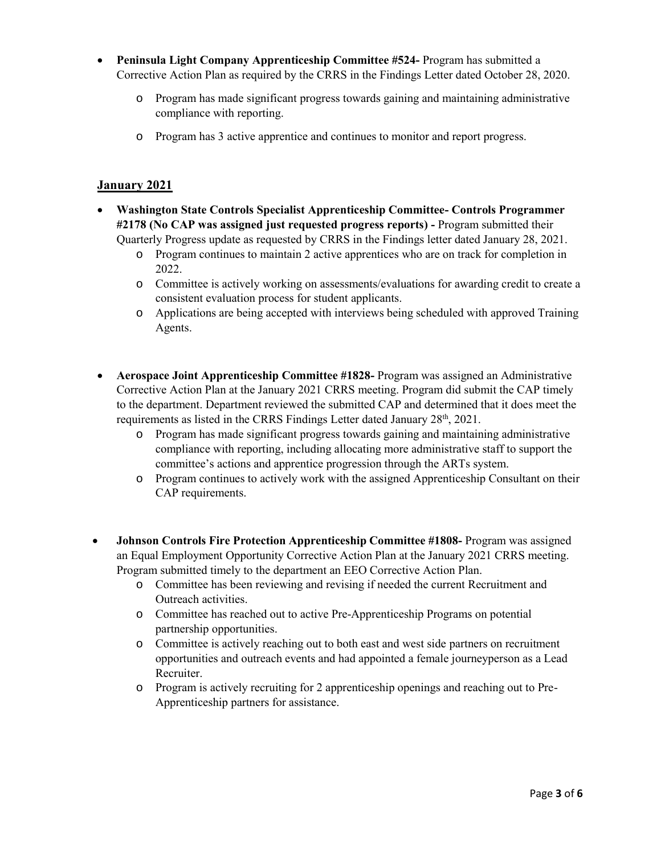- **Peninsula Light Company Apprenticeship Committee #524-** Program has submitted a Corrective Action Plan as required by the CRRS in the Findings Letter dated October 28, 2020.
	- o Program has made significant progress towards gaining and maintaining administrative compliance with reporting.
	- o Program has 3 active apprentice and continues to monitor and report progress.

#### **January 2021**

- **Washington State Controls Specialist Apprenticeship Committee- Controls Programmer #2178 (No CAP was assigned just requested progress reports) -** Program submitted their Quarterly Progress update as requested by CRRS in the Findings letter dated January 28, 2021.
	- o Program continues to maintain 2 active apprentices who are on track for completion in 2022.
	- o Committee is actively working on assessments/evaluations for awarding credit to create a consistent evaluation process for student applicants.
	- o Applications are being accepted with interviews being scheduled with approved Training Agents.
- **Aerospace Joint Apprenticeship Committee #1828-** Program was assigned an Administrative Corrective Action Plan at the January 2021 CRRS meeting. Program did submit the CAP timely to the department. Department reviewed the submitted CAP and determined that it does meet the requirements as listed in the CRRS Findings Letter dated January 28<sup>th</sup>, 2021.
	- o Program has made significant progress towards gaining and maintaining administrative compliance with reporting, including allocating more administrative staff to support the committee's actions and apprentice progression through the ARTs system.
	- o Program continues to actively work with the assigned Apprenticeship Consultant on their CAP requirements.
- **Johnson Controls Fire Protection Apprenticeship Committee #1808-** Program was assigned an Equal Employment Opportunity Corrective Action Plan at the January 2021 CRRS meeting. Program submitted timely to the department an EEO Corrective Action Plan.
	- o Committee has been reviewing and revising if needed the current Recruitment and Outreach activities.
	- o Committee has reached out to active Pre-Apprenticeship Programs on potential partnership opportunities.
	- o Committee is actively reaching out to both east and west side partners on recruitment opportunities and outreach events and had appointed a female journeyperson as a Lead Recruiter.
	- o Program is actively recruiting for 2 apprenticeship openings and reaching out to Pre-Apprenticeship partners for assistance.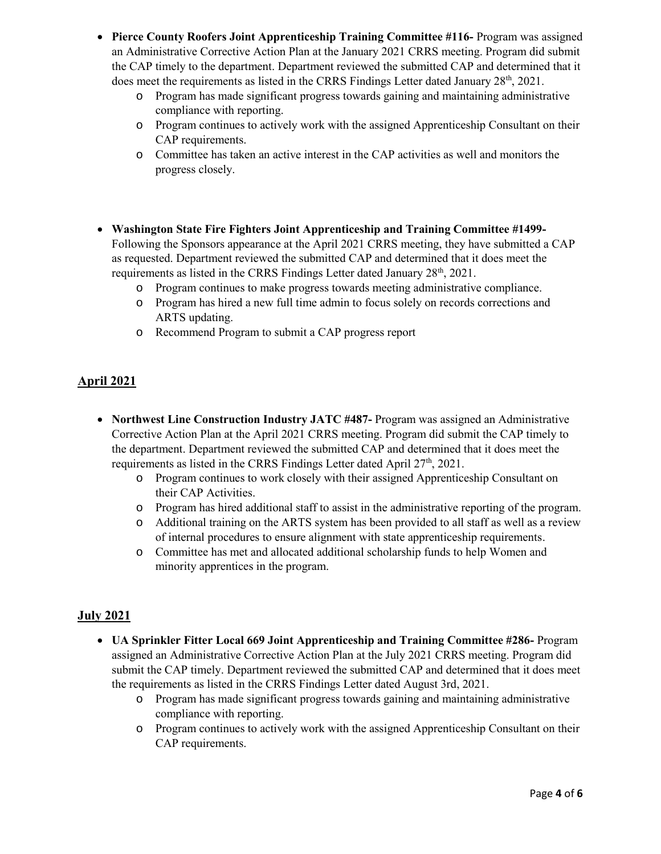- **Pierce County Roofers Joint Apprenticeship Training Committee #116-** Program was assigned an Administrative Corrective Action Plan at the January 2021 CRRS meeting. Program did submit the CAP timely to the department. Department reviewed the submitted CAP and determined that it does meet the requirements as listed in the CRRS Findings Letter dated January  $28<sup>th</sup>$ ,  $2021$ .
	- o Program has made significant progress towards gaining and maintaining administrative compliance with reporting.
	- o Program continues to actively work with the assigned Apprenticeship Consultant on their CAP requirements.
	- o Committee has taken an active interest in the CAP activities as well and monitors the progress closely.
- **Washington State Fire Fighters Joint Apprenticeship and Training Committee #1499-** Following the Sponsors appearance at the April 2021 CRRS meeting, they have submitted a CAP as requested. Department reviewed the submitted CAP and determined that it does meet the requirements as listed in the CRRS Findings Letter dated January 28<sup>th</sup>, 2021.
	- o Program continues to make progress towards meeting administrative compliance.
	- o Program has hired a new full time admin to focus solely on records corrections and ARTS updating.
	- o Recommend Program to submit a CAP progress report

#### **April 2021**

- **Northwest Line Construction Industry JATC #487-** Program was assigned an Administrative Corrective Action Plan at the April 2021 CRRS meeting. Program did submit the CAP timely to the department. Department reviewed the submitted CAP and determined that it does meet the requirements as listed in the CRRS Findings Letter dated April  $27<sup>th</sup>$ , 2021.
	- o Program continues to work closely with their assigned Apprenticeship Consultant on their CAP Activities.
	- o Program has hired additional staff to assist in the administrative reporting of the program.
	- o Additional training on the ARTS system has been provided to all staff as well as a review of internal procedures to ensure alignment with state apprenticeship requirements.
	- o Committee has met and allocated additional scholarship funds to help Women and minority apprentices in the program.

#### **July 2021**

- **UA Sprinkler Fitter Local 669 Joint Apprenticeship and Training Committee #286-** Program assigned an Administrative Corrective Action Plan at the July 2021 CRRS meeting. Program did submit the CAP timely. Department reviewed the submitted CAP and determined that it does meet the requirements as listed in the CRRS Findings Letter dated August 3rd, 2021.
	- o Program has made significant progress towards gaining and maintaining administrative compliance with reporting.
	- o Program continues to actively work with the assigned Apprenticeship Consultant on their CAP requirements.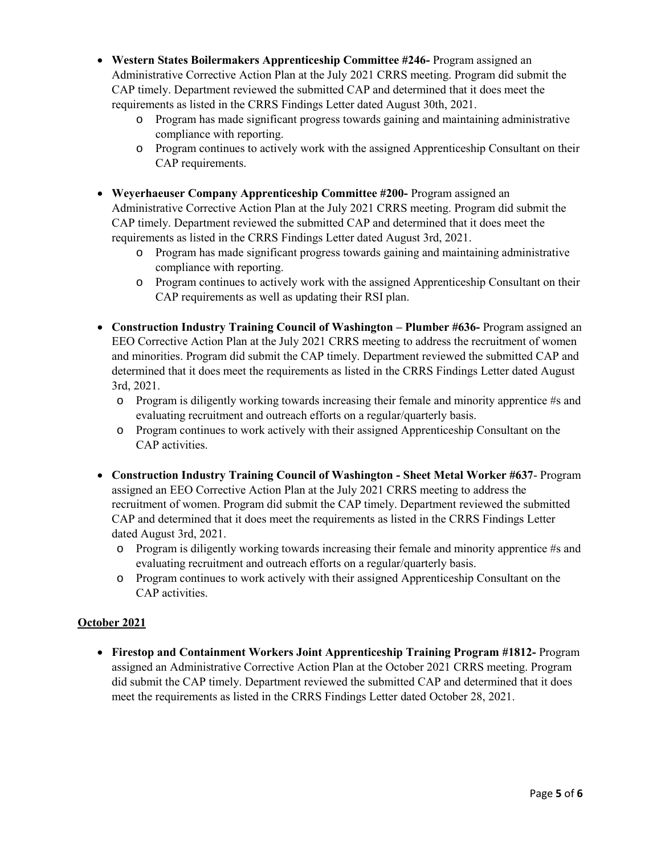- **Western States Boilermakers Apprenticeship Committee #246-** Program assigned an Administrative Corrective Action Plan at the July 2021 CRRS meeting. Program did submit the CAP timely. Department reviewed the submitted CAP and determined that it does meet the requirements as listed in the CRRS Findings Letter dated August 30th, 2021.
	- o Program has made significant progress towards gaining and maintaining administrative compliance with reporting.
	- o Program continues to actively work with the assigned Apprenticeship Consultant on their CAP requirements.
- **Weyerhaeuser Company Apprenticeship Committee #200-** Program assigned an Administrative Corrective Action Plan at the July 2021 CRRS meeting. Program did submit the CAP timely. Department reviewed the submitted CAP and determined that it does meet the requirements as listed in the CRRS Findings Letter dated August 3rd, 2021.
	- o Program has made significant progress towards gaining and maintaining administrative compliance with reporting.
	- o Program continues to actively work with the assigned Apprenticeship Consultant on their CAP requirements as well as updating their RSI plan.
- **Construction Industry Training Council of Washington – Plumber #636-** Program assigned an EEO Corrective Action Plan at the July 2021 CRRS meeting to address the recruitment of women and minorities. Program did submit the CAP timely. Department reviewed the submitted CAP and determined that it does meet the requirements as listed in the CRRS Findings Letter dated August 3rd, 2021.
	- $\circ$  Program is diligently working towards increasing their female and minority apprentice #s and evaluating recruitment and outreach efforts on a regular/quarterly basis.
	- o Program continues to work actively with their assigned Apprenticeship Consultant on the CAP activities.
- **Construction Industry Training Council of Washington - Sheet Metal Worker #637** Program assigned an EEO Corrective Action Plan at the July 2021 CRRS meeting to address the recruitment of women. Program did submit the CAP timely. Department reviewed the submitted CAP and determined that it does meet the requirements as listed in the CRRS Findings Letter dated August 3rd, 2021.
	- $\circ$  Program is diligently working towards increasing their female and minority apprentice #s and evaluating recruitment and outreach efforts on a regular/quarterly basis.
	- o Program continues to work actively with their assigned Apprenticeship Consultant on the CAP activities.

#### **October 2021**

 **Firestop and Containment Workers Joint Apprenticeship Training Program #1812-** Program assigned an Administrative Corrective Action Plan at the October 2021 CRRS meeting. Program did submit the CAP timely. Department reviewed the submitted CAP and determined that it does meet the requirements as listed in the CRRS Findings Letter dated October 28, 2021.